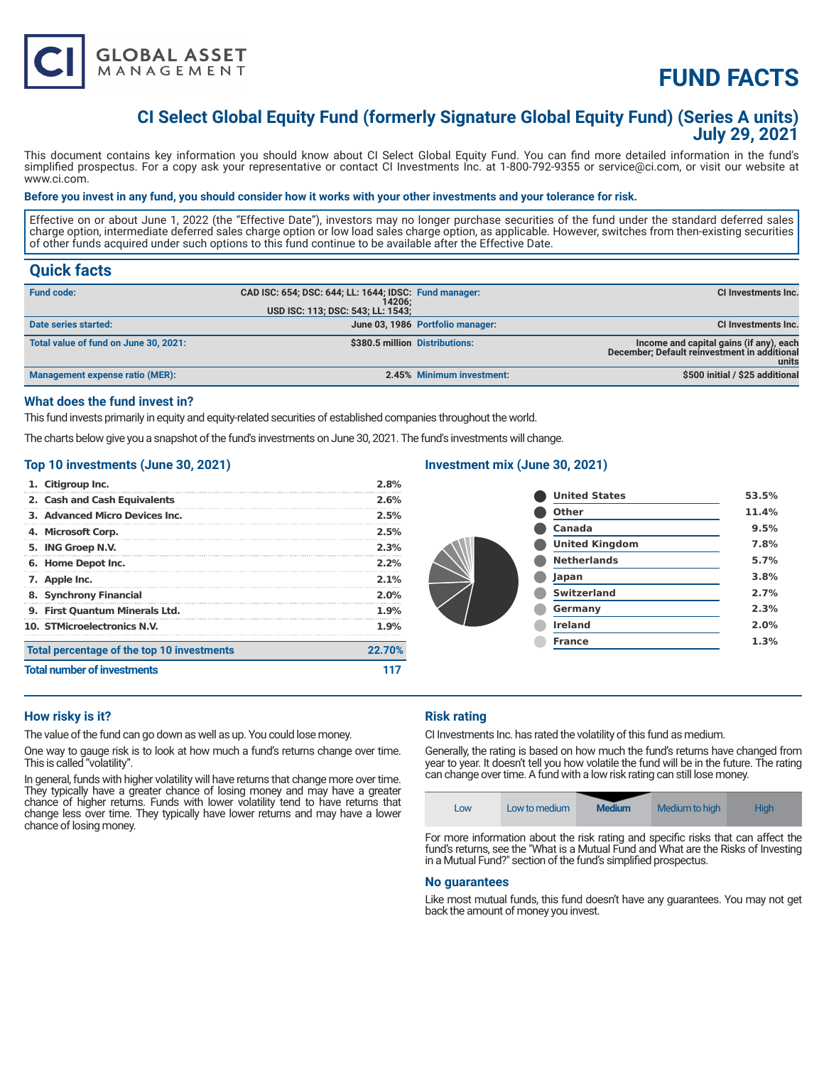

# **FUND FACTS**

### **CI Select Global Equity Fund (formerly Signature Global Equity Fund) (Series A units) July 29, 2021**

This document contains key information you should know about CI Select Global Equity Fund. You can find more detailed information in the fund's simplified prospectus. For a copy ask your representative or contact CI Investments Inc. at 1-800-792-9355 or service@ci.com, or visit our website at www.ci.com.

#### **Before you invest in any fund, you should consider how it works with your other investments and your tolerance for risk.**

Effective on or about June 1, 2022 (the "Effective Date"), investors may no longer purchase securities of the fund under the standard deferred sales charge option, intermediate deferred sales charge option or low load sales charge option, as applicable. However, switches from then-existing securities of other funds acquired under such options to this fund continue to be available after the Effective Date.

### **Quick facts**

| <b>Fund code:</b>                     | CAD ISC: 654; DSC: 644; LL: 1644; IDSC: Fund manager:<br>14206: |                                  | CI Investments Inc.                                                                              |
|---------------------------------------|-----------------------------------------------------------------|----------------------------------|--------------------------------------------------------------------------------------------------|
|                                       | USD ISC: 113; DSC: 543; LL: 1543;                               |                                  |                                                                                                  |
| Date series started:                  |                                                                 | June 03, 1986 Portfolio manager: | <b>CI Investments Inc.</b>                                                                       |
| Total value of fund on June 30, 2021: | \$380.5 million Distributions:                                  |                                  | Income and capital gains (if any), each<br>December; Default reinvestment in additional<br>units |
| Management expense ratio (MER):       |                                                                 | 2.45% Minimum investment:        | \$500 initial / \$25 additional                                                                  |

#### **What does the fund invest in?**

This fund invests primarily in equity and equity-related securities of established companies throughout the world.

The charts below give you a snapshot of the fund's investments on June 30, 2021. The fund's investments will change.

#### **Top 10 investments (June 30, 2021)**

| 1. Citigroup Inc.                          | 2.8%    |
|--------------------------------------------|---------|
| 2. Cash and Cash Equivalents               | 2.6%    |
| 3. Advanced Micro Devices Inc.             | 2.5%    |
| 4. Microsoft Corp.                         | 2.5%    |
| 5. ING Groep N.V.                          | 2.3%    |
| 6. Home Depot Inc.                         | 2.2%    |
| 7. Apple Inc.                              | $2.1\%$ |
| 8. Synchrony Financial                     | $2.0\%$ |
| 9. First Quantum Minerals Ltd.             | 1.9%    |
| 10. STMicroelectronics N.V.                | $1.9\%$ |
| Total percentage of the top 10 investments | 22.70%  |
| <b>Total number of investments</b>         |         |

#### **Investment mix (June 30, 2021)**

| <b>United States</b>  | 53.5% |
|-----------------------|-------|
| <b>Other</b>          | 11.4% |
| <b>Canada</b>         | 9.5%  |
| <b>United Kingdom</b> | 7.8%  |
| <b>Netherlands</b>    | 5.7%  |
| Japan                 | 3.8%  |
| <b>Switzerland</b>    | 2.7%  |
| Germany               | 2.3%  |
| <b>Ireland</b>        | 2.0%  |
| <b>France</b>         | 1.3%  |
|                       |       |

#### **How risky is it?**

The value of the fund can go down as well as up. You could lose money.

One way to gauge risk is to look at how much a fund's returns change over time. This is called "volatility".

In general, funds with higher volatility will have returns that change more over time. They typically have a greater chance of losing money and may have a greater chance of higher returns. Funds with lower volatility tend to have returns that change less over time. They typically have lower returns and may have a lower chance of losing money.

### **Risk rating**

CI Investments Inc. has rated the volatility of this fund as medium.

Generally, the rating is based on how much the fund's returns have changed from year to year. It doesn't tell you how volatile the fund will be in the future. The rating can change over time. A fund with a low risk rating can still lose money.

| <b>Medium</b><br><b>High</b><br>Medium to high<br>Low to medium<br>LOW |  |  |
|------------------------------------------------------------------------|--|--|
|------------------------------------------------------------------------|--|--|

For more information about the risk rating and specific risks that can affect the fund's returns, see the "What is a Mutual Fund and What are the Risks of Investing in a Mutual Fund?" section of the fund's simplified prospectus.

#### **No guarantees**

Like most mutual funds, this fund doesn't have any guarantees. You may not get back the amount of money you invest.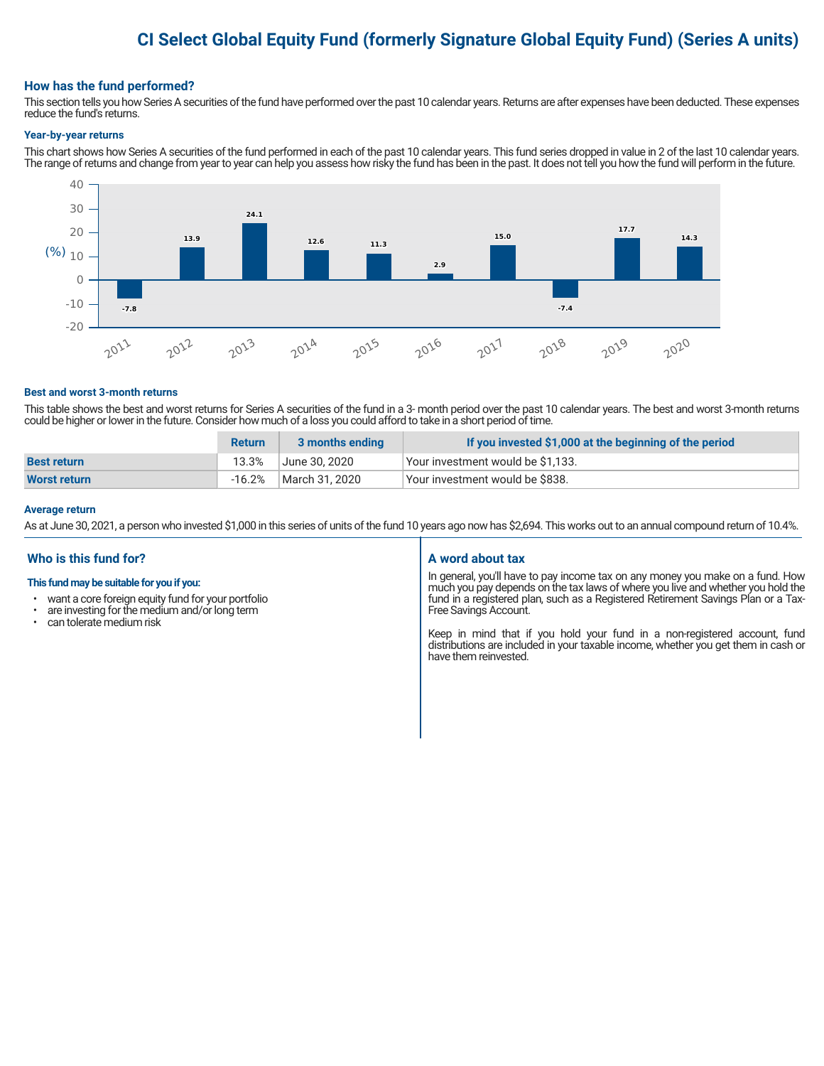## **CI Select Global Equity Fund (formerly Signature Global Equity Fund) (Series A units)**

#### **How has the fund performed?**

This section tells you how Series A securities of the fund have performed over the past 10 calendar years. Returns are after expenses have been deducted. These expenses reduce the fund's returns.

#### **Year-by-year returns**

This chart shows how Series A securities of the fund performed in each of the past 10 calendar years. This fund series dropped in value in 2 of the last 10 calendar years. The range of returns and change from year to year can help you assess how risky the fund has been in the past. It does not tell you how the fund will perform in the future.



#### **Best and worst 3-month returns**

This table shows the best and worst returns for Series A securities of the fund in a 3- month period over the past 10 calendar years. The best and worst 3-month returns could be higher or lower in the future. Consider how much of a loss you could afford to take in a short period of time.

|                     | <b>Return</b> | 3 months ending | If you invested \$1,000 at the beginning of the period |
|---------------------|---------------|-----------------|--------------------------------------------------------|
| <b>Best return</b>  | 13.3%         | June 30. 2020   | Vour investment would be \$1,133.                      |
| <b>Worst return</b> | $-16.2%$      | March 31, 2020  | Vour investment would be \$838.                        |

#### **Average return**

As at June 30, 2021, a person who invested \$1,000 in this series of units of the fund 10 years ago now has \$2,694. This works out to an annual compound return of 10.4%.

#### **Who is this fund for?**

#### **This fund may be suitable for you if you:**

- want a core foreign equity fund for your portfolio
- $\cdot$  are investing for the medium and/or long term  $\cdot$  can telerate medium risk
- can tolerate medium risk

#### **A word about tax**

In general, you'll have to pay income tax on any money you make on a fund. How much you pay depends on the tax laws of where you live and whether you hold the fund in a registered plan, such as a Registered Retirement Savings Plan or a Tax-Free Savings Account.

Keep in mind that if you hold your fund in a non-registered account, fund distributions are included in your taxable income, whether you get them in cash or have them reinvested.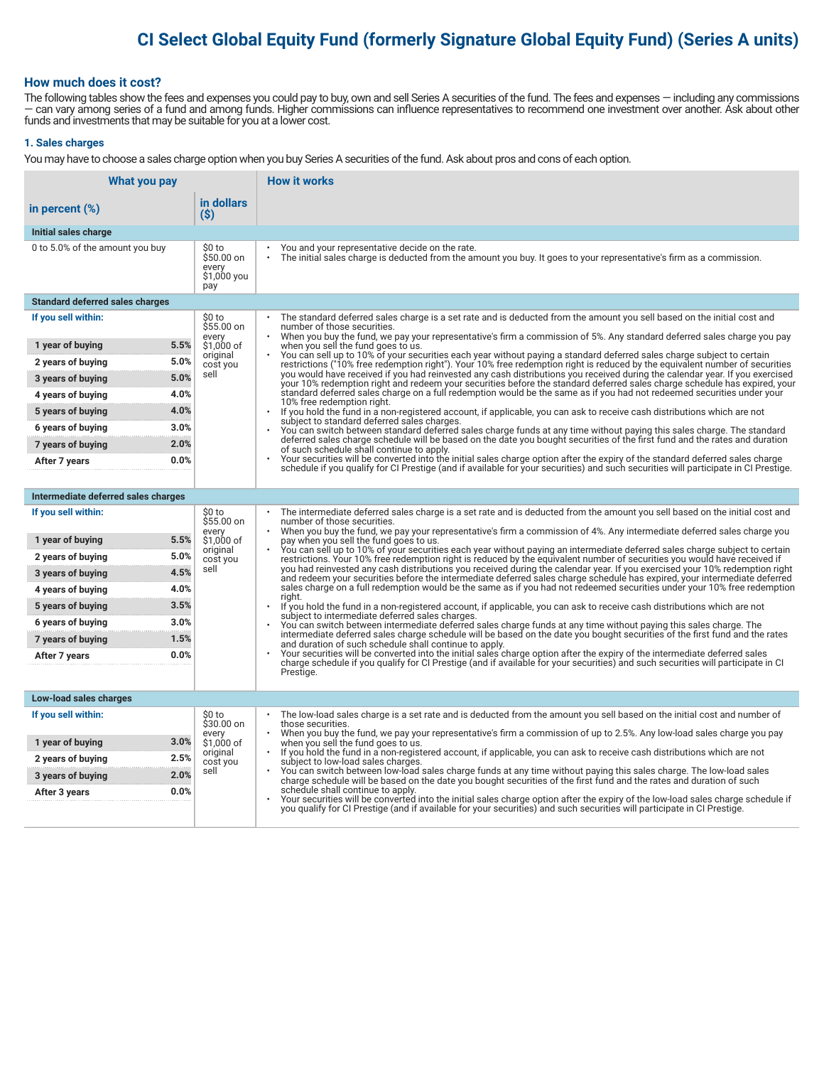## **CI Select Global Equity Fund (formerly Signature Global Equity Fund) (Series A units)**

#### **How much does it cost?**

The following tables show the fees and expenses you could pay to buy, own and sell Series A securities of the fund. The fees and expenses — including any commissions — can vary among series of a fund and among funds. Higher commissions can influence representatives to recommend one investment over another. Ask about other funds and investments that may be suitable for you at a lower cost.

#### **1. Sales charges**

You may have to choose a sales charge option when you buy Series A securities of the fund. Ask about pros and cons of each option.

| What you pay                                           |                                                     | <b>How it works</b>                                                                                                                                                                                                                                                                                                                                                                                                                                                                                                         |
|--------------------------------------------------------|-----------------------------------------------------|-----------------------------------------------------------------------------------------------------------------------------------------------------------------------------------------------------------------------------------------------------------------------------------------------------------------------------------------------------------------------------------------------------------------------------------------------------------------------------------------------------------------------------|
| in percent (%)                                         | in dollars<br>(\$)                                  |                                                                                                                                                                                                                                                                                                                                                                                                                                                                                                                             |
| Initial sales charge                                   |                                                     |                                                                                                                                                                                                                                                                                                                                                                                                                                                                                                                             |
| 0 to 5.0% of the amount you buy                        | \$0 to<br>\$50.00 on<br>every<br>\$1,000 you<br>pay | You and your representative decide on the rate.<br>The initial sales charge is deducted from the amount you buy. It goes to your representative's firm as a commission.                                                                                                                                                                                                                                                                                                                                                     |
| <b>Standard deferred sales charges</b>                 |                                                     |                                                                                                                                                                                                                                                                                                                                                                                                                                                                                                                             |
| If you sell within:                                    | \$0 to<br>$$55.00$ on                               | The standard deferred sales charge is a set rate and is deducted from the amount you sell based on the initial cost and<br>number of those securities.                                                                                                                                                                                                                                                                                                                                                                      |
| 5.5%<br>1 year of buying                               | every<br>\$1,000 of                                 | When you buy the fund, we pay your representative's firm a commission of 5%. Any standard deferred sales charge you pay<br>when you sell the fund goes to us.                                                                                                                                                                                                                                                                                                                                                               |
| 5.0%<br>2 years of buying                              | original<br>cost you                                | You can sell up to 10% of your securities each year without paying a standard deferred sales charge subject to certain<br>restrictions ("10% free redemption right"). Your 10% free redemption right is reduced by the equivalent number of securities                                                                                                                                                                                                                                                                      |
| 5.0%<br>3 years of buying                              | sell                                                | you would have received if you had reinvested any cash distributions you received during the calendar year. If you exercised<br>your 10% redemption right and redeem your securities before the standard deferred sales charge schedule has expired, your                                                                                                                                                                                                                                                                   |
| 4.0%<br>4 years of buying                              |                                                     | standard deferred sales charge on a full redemption would be the same as if you had not redeemed securities under your<br>10% free redemption right.                                                                                                                                                                                                                                                                                                                                                                        |
| 4.0%<br>5 years of buying                              |                                                     | $\ddot{\phantom{a}}$<br>If you hold the fund in a non-registered account, if applicable, you can ask to receive cash distributions which are not<br>subject to standard deferred sales charges.<br>You can switch between standard deferred sales charge funds at any time without paying this sales charge. The standard                                                                                                                                                                                                   |
| 3.0%<br>6 years of buying                              |                                                     |                                                                                                                                                                                                                                                                                                                                                                                                                                                                                                                             |
| 2.0%<br>7 years of buying                              |                                                     | deferred sales charge schedule will be based on the date you bought securities of the first fund and the rates and duration<br>of such schedule shall continue to apply.                                                                                                                                                                                                                                                                                                                                                    |
| 0.0%<br>After 7 years                                  |                                                     | Your securities will be converted into the initial sales charge option after the expiry of the standard deferred sales charge<br>schedule if you qualify for CI Prestige (and if available for your securities) and such securities will participate in CI Prestige.                                                                                                                                                                                                                                                        |
|                                                        |                                                     |                                                                                                                                                                                                                                                                                                                                                                                                                                                                                                                             |
| Intermediate deferred sales charges                    |                                                     |                                                                                                                                                                                                                                                                                                                                                                                                                                                                                                                             |
| If you sell within:                                    | \$0 to<br>\$55.00 on<br>every                       | The intermediate deferred sales charge is a set rate and is deducted from the amount you sell based on the initial cost and<br>number of those securities.<br>When you buy the fund, we pay your representative's firm a commission of 4%. Any intermediate deferred sales charge you                                                                                                                                                                                                                                       |
| 5.5%<br>1 year of buying                               | \$1,000 of<br>original                              | pay when you sell the fund goes to us.<br>You can sell up to 10% of your securities each year without paying an intermediate deferred sales charge subject to certain                                                                                                                                                                                                                                                                                                                                                       |
| 5.0%<br>2 years of buying                              | cost you<br>sell                                    | restrictions. Your 10% free redemption right is reduced by the equivalent number of securities you would have received if<br>you had reinvested any cash distributions you received during the calendar year. If you exercised your 10% redemption right<br>and redeem your securities before the intermediate deferred sales charge schedule has expired, your intermediate deferred<br>sales charge on a full redemption would be the same as if you had not redeemed securities under your 10% free redemption<br>right. |
| 4.5%<br>3 years of buying                              |                                                     |                                                                                                                                                                                                                                                                                                                                                                                                                                                                                                                             |
| 4.0%<br>4 years of buying                              |                                                     |                                                                                                                                                                                                                                                                                                                                                                                                                                                                                                                             |
| 3.5%<br>5 years of buying<br>3.0%<br>6 years of buying |                                                     | If you hold the fund in a non-registered account, if applicable, you can ask to receive cash distributions which are not<br>subject to intermediate deferred sales charges.                                                                                                                                                                                                                                                                                                                                                 |
| 1.5%<br>7 years of buying                              |                                                     | You can switch between intermediate deferred sales charge funds at any time without paying this sales charge. The<br>intermediate deferred sales charge schedule will be based on the date you bought securities of the first fund and the rates                                                                                                                                                                                                                                                                            |
| 0.0%<br>After 7 years                                  |                                                     | and duration of such schedule shall continue to apply.<br>Your securities will be converted into the initial sales charge option after the expiry of the intermediate deferred sales                                                                                                                                                                                                                                                                                                                                        |
|                                                        |                                                     | charge schedule if you qualify for CI Prestige (and if available for your securities) and such securities will participate in CI<br>Prestige.                                                                                                                                                                                                                                                                                                                                                                               |
|                                                        |                                                     |                                                                                                                                                                                                                                                                                                                                                                                                                                                                                                                             |
| Low-load sales charges                                 |                                                     |                                                                                                                                                                                                                                                                                                                                                                                                                                                                                                                             |
| If you sell within:                                    | \$0 to<br>\$30.00 on                                | The low-load sales charge is a set rate and is deducted from the amount you sell based on the initial cost and number of<br>those securities.                                                                                                                                                                                                                                                                                                                                                                               |
| 3.0%<br>1 year of buying                               | every<br>\$1,000 of                                 | When you buy the fund, we pay your representative's firm a commission of up to 2.5%. Any low-load sales charge you pay<br>when you sell the fund goes to us.                                                                                                                                                                                                                                                                                                                                                                |
| 2.5%<br>2 years of buying                              | original<br>cost you                                | If you hold the fund in a non-registered account, if applicable, you can ask to receive cash distributions which are not<br>subject to low-load sales charges.                                                                                                                                                                                                                                                                                                                                                              |
| 2.0%<br>3 years of buying                              | sell                                                | You can switch between low-load sales charge funds at any time without paying this sales charge. The low-load sales<br>charge schedule will be based on the date you bought securities of the first fund and the rates and duration of such                                                                                                                                                                                                                                                                                 |
| 0.0%<br>After 3 years                                  |                                                     | schedule shall continue to apply.<br>Your securities will be converted into the initial sales charge option after the expiry of the low-load sales charge schedule if                                                                                                                                                                                                                                                                                                                                                       |
|                                                        |                                                     | you qualify for CI Prestige (and if available for your securities) and such securities will participate in CI Prestige.                                                                                                                                                                                                                                                                                                                                                                                                     |